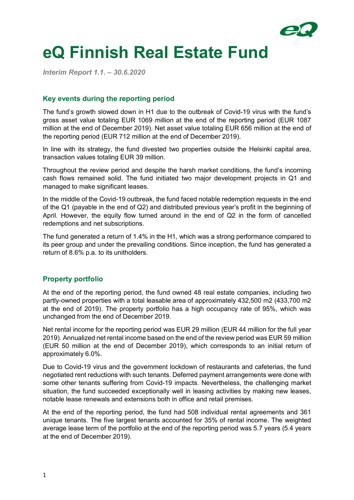

# **eQ Finnish Real Estate Fund**

*Interim Report 1.1. – 30.6.2020*

# **Key events during the reporting period**

The fund's growth slowed down in H1 due to the outbreak of Covid-19 virus with the fund's gross asset value totaling EUR 1069 million at the end of the reporting period (EUR 1087 million at the end of December 2019). Net asset value totaling EUR 656 million at the end of the reporting period (EUR 712 million at the end of December 2019).

In line with its strategy, the fund divested two properties outside the Helsinki capital area, transaction values totaling EUR 39 million.

Throughout the review period and despite the harsh market conditions, the fund's incoming cash flows remained solid. The fund initiated two major development projects in Q1 and managed to make significant leases.

In the middle of the Covid-19 outbreak, the fund faced notable redemption requests in the end of the Q1 (payable in the end of Q2) and distributed previous year's profit in the beginning of April. However, the equity flow turned around in the end of Q2 in the form of cancelled redemptions and net subscriptions.

The fund generated a return of 1.4% in the H1, which was a strong performance compared to its peer group and under the prevailing conditions. Since inception, the fund has generated a return of 8.6% p.a. to its unitholders.

# **Property portfolio**

At the end of the reporting period, the fund owned 48 real estate companies, including two partly-owned properties with a total leasable area of approximately 432,500 m2 (433,700 m2 at the end of 2019). The property portfolio has a high occupancy rate of 95%, which was unchanged from the end of December 2019.

Net rental income for the reporting period was EUR 29 million (EUR 44 million for the full year 2019). Annualized net rental income based on the end of the review period was EUR 59 million (EUR 50 million at the end of December 2019), which corresponds to an initial return of approximately 6.0%.

Due to Covid-19 virus and the government lockdown of restaurants and cafeterias, the fund negotiated rent reductions with such tenants. Deferred payment arrangements were done with some other tenants suffering from Covid-19 impacts. Nevertheless, the challenging market situation, the fund succeeded exceptionally well in leasing activities by making new leases, notable lease renewals and extensions both in office and retail premises.

At the end of the reporting period, the fund had 508 individual rental agreements and 361 unique tenants. The five largest tenants accounted for 35% of rental income. The weighted average lease term of the portfolio at the end of the reporting period was 5.7 years (5.4 years at the end of December 2019).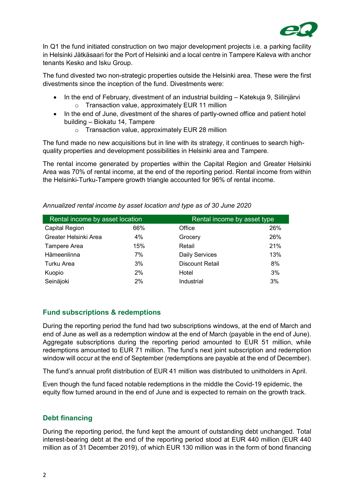

In Q1 the fund initiated construction on two major development projects i.e. a parking facility in Helsinki Jätkäsaari for the Port of Helsinki and a local centre in Tampere Kaleva with anchor tenants Kesko and Isku Group.

The fund divested two non-strategic properties outside the Helsinki area. These were the first divestments since the inception of the fund. Divestments were:

- · In the end of February, divestment of an industrial building Katekuja 9, Siilinjärvi o Transaction value, approximately EUR 11 million
- · In the end of June, divestment of the shares of partly-owned office and patient hotel building – Biokatu 14, Tampere
	- o Transaction value, approximately EUR 28 million

The fund made no new acquisitions but in line with its strategy, it continues to search highquality properties and development possibilities in Helsinki area and Tampere.

The rental income generated by properties within the Capital Region and Greater Helsinki Area was 70% of rental income, at the end of the reporting period. Rental income from within the Helsinki-Turku-Tampere growth triangle accounted for 96% of rental income.

| Rental income by asset location |     | Rental income by asset type |     |  |
|---------------------------------|-----|-----------------------------|-----|--|
| <b>Capital Region</b>           | 66% | Office                      | 26% |  |
| Greater Helsinki Area           | 4%  | Grocery                     | 26% |  |
| Tampere Area                    | 15% | Retail                      | 21% |  |
| Hämeenlinna                     | 7%  | <b>Daily Services</b>       | 13% |  |
| Turku Area                      | 3%  | <b>Discount Retail</b>      | 8%  |  |
| Kuopio                          | 2%  | Hotel                       | 3%  |  |
| Seinäjoki                       | 2%  | Industrial                  | 3%  |  |

*Annualized rental income by asset location and type as of 30 June 2020*

# **Fund subscriptions & redemptions**

During the reporting period the fund had two subscriptions windows, at the end of March and end of June as well as a redemption window at the end of March (payable in the end of June). Aggregate subscriptions during the reporting period amounted to EUR 51 million, while redemptions amounted to EUR 71 million. The fund's next joint subscription and redemption window will occur at the end of September (redemptions are payable at the end of December).

The fund's annual profit distribution of EUR 41 million was distributed to unitholders in April.

Even though the fund faced notable redemptions in the middle the Covid-19 epidemic, the equity flow turned around in the end of June and is expected to remain on the growth track.

# **Debt financing**

During the reporting period, the fund kept the amount of outstanding debt unchanged. Total interest-bearing debt at the end of the reporting period stood at EUR 440 million (EUR 440 million as of 31 December 2019), of which EUR 130 million was in the form of bond financing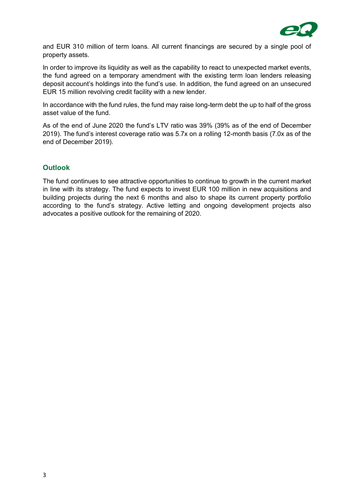

and EUR 310 million of term loans. All current financings are secured by a single pool of property assets.

In order to improve its liquidity as well as the capability to react to unexpected market events, the fund agreed on a temporary amendment with the existing term loan lenders releasing deposit account's holdings into the fund's use. In addition, the fund agreed on an unsecured EUR 15 million revolving credit facility with a new lender.

In accordance with the fund rules, the fund may raise long-term debt the up to half of the gross asset value of the fund.

As of the end of June 2020 the fund's LTV ratio was 39% (39% as of the end of December 2019). The fund's interest coverage ratio was 5.7x on a rolling 12-month basis (7.0x as of the end of December 2019).

# **Outlook**

The fund continues to see attractive opportunities to continue to growth in the current market in line with its strategy. The fund expects to invest EUR 100 million in new acquisitions and building projects during the next 6 months and also to shape its current property portfolio according to the fund's strategy. Active letting and ongoing development projects also advocates a positive outlook for the remaining of 2020.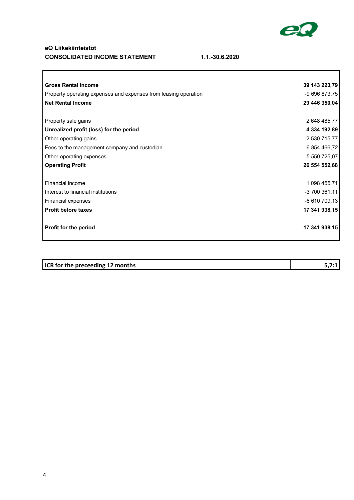

٦

## **eQ Liikekiinteistöt CONSOLIDATED INCOME STATEMENT 1.1.-30.6.2020**

 $\overline{\mathcal{L}^{\mathcal{A}}(\mathcal{A})}$ 

| <b>Gross Rental Income</b>                                      | 39 143 223,79 |
|-----------------------------------------------------------------|---------------|
| Property operating expenses and expenses from leasing operation | -9 696 873,75 |
| <b>Net Rental Income</b>                                        | 29 446 350,04 |
|                                                                 |               |
| Property sale gains                                             | 2 648 485,77  |
| Unrealized profit (loss) for the period                         | 4 334 192,89  |
| Other operating gains                                           | 2 530 715,77  |
| Fees to the management company and custodian                    | -6 854 466,72 |
| Other operating expenses                                        | -5 550 725,07 |
| <b>Operating Profit</b>                                         | 26 554 552,68 |
|                                                                 |               |
| Financial income                                                | 1 098 455,71  |
| Interest to financial institutions                              | -3 700 361,11 |
| Financial expenses                                              | -6 610 709,13 |
| <b>Profit before taxes</b>                                      | 17 341 938,15 |
| Profit for the period                                           | 17 341 938,15 |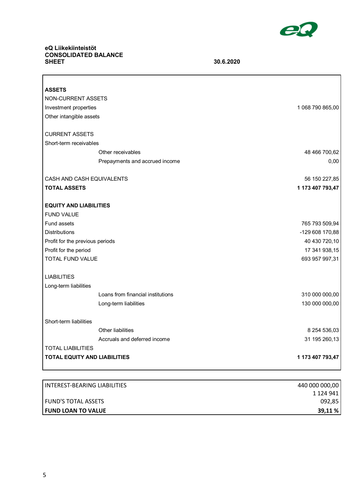

٦

# **eQ Liikekiinteistöt CONSOLIDATED BALANCE**

 $\Gamma$ 

**SHEET 30.6.2020**

| <b>ASSETS</b>                       |                  |
|-------------------------------------|------------------|
| NON-CURRENT ASSETS                  |                  |
| Investment properties               | 1 068 790 865,00 |
| Other intangible assets             |                  |
| <b>CURRENT ASSETS</b>               |                  |
| Short-term receivables              |                  |
| Other receivables                   | 48 466 700,62    |
| Prepayments and accrued income      | 0,00             |
| CASH AND CASH EQUIVALENTS           | 56 150 227,85    |
| <b>TOTAL ASSETS</b>                 | 1 173 407 793,47 |
| <b>EQUITY AND LIABILITIES</b>       |                  |
| <b>FUND VALUE</b>                   |                  |
| Fund assets                         | 765 793 509,94   |
| <b>Distributions</b>                | -129 608 170,88  |
| Profit for the previous periods     | 40 430 720,10    |
| Profit for the period               | 17 341 938,15    |
| TOTAL FUND VALUE                    | 693 957 997,31   |
| <b>LIABILITIES</b>                  |                  |
| Long-term liabilities               |                  |
| Loans from financial institutions   | 310 000 000,00   |
| Long-term liabilities               | 130 000 000,00   |
| Short-term liabilities              |                  |
| Other liabilities                   | 8 254 536,03     |
| Accruals and deferred income        | 31 195 260,13    |
| <b>TOTAL LIABILITIES</b>            |                  |
| <b>TOTAL EQUITY AND LIABILITIES</b> | 1 173 407 793,47 |

| INTEREST-BEARING LIABILITIES | 440 000 000,00 |
|------------------------------|----------------|
|                              | 1 124 941      |
| <b>FUND'S TOTAL ASSETS</b>   | 092,85         |
| <b>I FUND LOAN TO VALUE</b>  | 39,11 %        |